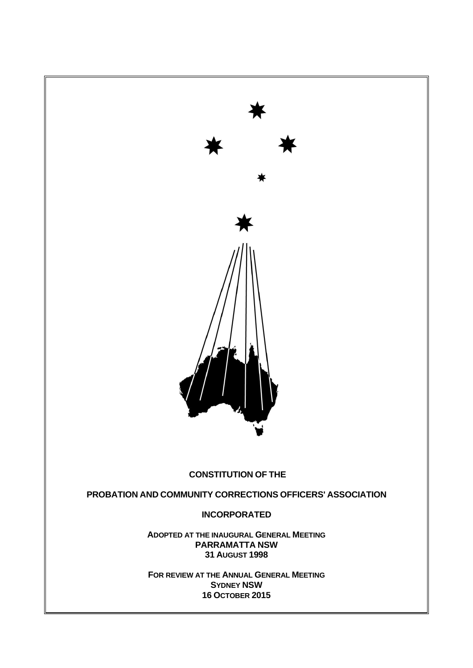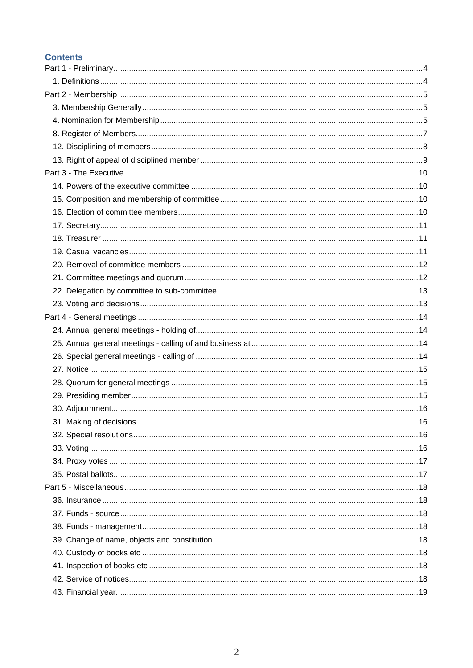#### **Contents**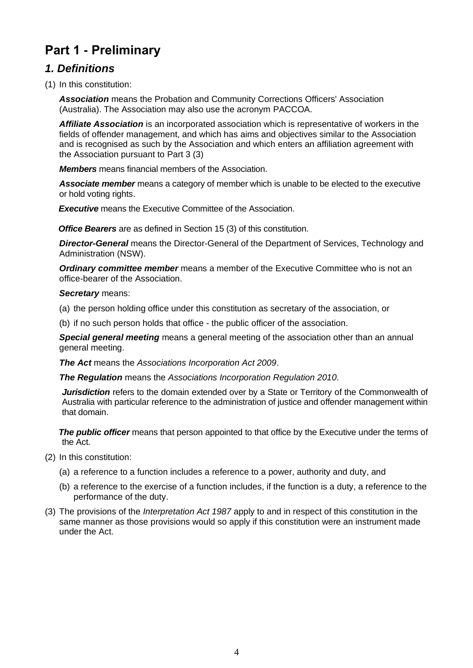# <span id="page-3-0"></span>**Part 1 - Preliminary**

#### <span id="page-3-1"></span>*1. Definitions*

(1) In this constitution:

*Association* means the Probation and Community Corrections Officers' Association (Australia). The Association may also use the acronym PACCOA.

*Affiliate Association* is an incorporated association which is representative of workers in the fields of offender management, and which has aims and objectives similar to the Association and is recognised as such by the Association and which enters an affiliation agreement with the Association pursuant to Part 3 (3)

*Members* means financial members of the Association.

*Associate member* means a category of member which is unable to be elected to the executive or hold voting rights.

*Executive* means the Executive Committee of the Association.

*Office Bearers* are as defined in Section 15 (3) of this constitution.

*Director-General* means the Director-General of the Department of Services, Technology and Administration (NSW).

*Ordinary committee member* means a member of the Executive Committee who is not an office-bearer of the Association.

#### *Secretary* means:

- (a) the person holding office under this constitution as secretary of the association, or
- (b) if no such person holds that office the public officer of the association.

*Special general meeting* means a general meeting of the association other than an annual general meeting.

*The Act* means the *[Associations Incorporation Act 2009](http://www.legislation.nsw.gov.au/xref/inforce/?xref=Type%3Dact%20AND%20Year%3D2009%20AND%20no%3D7&nohits=y)*.

*The Regulation* means the *[Associations Incorporation Regulation 2010.](http://www.legislation.nsw.gov.au/xref/inforce/?xref=Type%3Dsubordleg%20AND%20Year%3D2010%20AND%20No%3D238&nohits=y)*

*Jurisdiction* refers to the domain extended over by a State or Territory of the Commonwealth of Australia with particular reference to the administration of justice and offender management within that domain.

*The public officer* means that person appointed to that office by the Executive under the terms of the Act.

- (2) In this constitution:
	- (a) a reference to a function includes a reference to a power, authority and duty, and
	- (b) a reference to the exercise of a function includes, if the function is a duty, a reference to the performance of the duty.
- (3) The provisions of the *[Interpretation Act 1987](http://www.legislation.nsw.gov.au/xref/inforce/?xref=Type%3Dact%20AND%20Year%3D1987%20AND%20no%3D15&nohits=y)* apply to and in respect of this constitution in the same manner as those provisions would so apply if this constitution were an instrument made under the Act.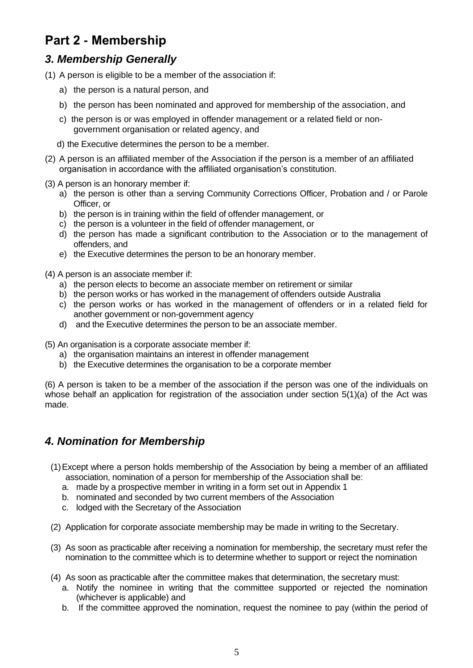# <span id="page-4-0"></span>**Part 2 - Membership**

### <span id="page-4-1"></span>*3. Membership Generally*

- (1) A person is eligible to be a member of the association if:
	- a) the person is a natural person, and
	- b) the person has been nominated and approved for membership of the association, and
	- c) the person is or was employed in offender management or a related field or nongovernment organisation or related agency, and
	- d) the Executive determines the person to be a member.
- (2) A person is an affiliated member of the Association if the person is a member of an affiliated organisation in accordance with the affiliated organisation's constitution.
- (3) A person is an honorary member if:
	- a) the person is other than a serving Community Corrections Officer, Probation and / or Parole Officer, or
	- b) the person is in training within the field of offender management, or
	- c) the person is a volunteer in the field of offender management, or
	- d) the person has made a significant contribution to the Association or to the management of offenders, and
	- e) the Executive determines the person to be an honorary member.
- (4) A person is an associate member if:
	- a) the person elects to become an associate member on retirement or similar
	- b) the person works or has worked in the management of offenders outside Australia
	- c) the person works or has worked in the management of offenders or in a related field for another government or non-government agency
	- d) and the Executive determines the person to be an associate member.

(5) An organisation is a corporate associate member if:

- a) the organisation maintains an interest in offender management
- b) the Executive determines the organisation to be a corporate member

(6) A person is taken to be a member of the association if the person was one of the individuals on whose behalf an application for registration of the association under section 5(1)(a) of the Act was made.

#### <span id="page-4-2"></span>*4. Nomination for Membership*

- (1)Except where a person holds membership of the Association by being a member of an affiliated association, nomination of a person for membership of the Association shall be:
	- a. made by a prospective member in writing in a form set out in Appendix 1
	- b. nominated and seconded by two current members of the Association
	- c. lodged with the Secretary of the Association
- (2) Application for corporate associate membership may be made in writing to the Secretary.
- (3) As soon as practicable after receiving a nomination for membership, the secretary must refer the nomination to the committee which is to determine whether to support or reject the nomination
- (4) As soon as practicable after the committee makes that determination, the secretary must:
	- a. Notify the nominee in writing that the committee supported or rejected the nomination (whichever is applicable) and
	- b. If the committee approved the nomination, request the nominee to pay (within the period of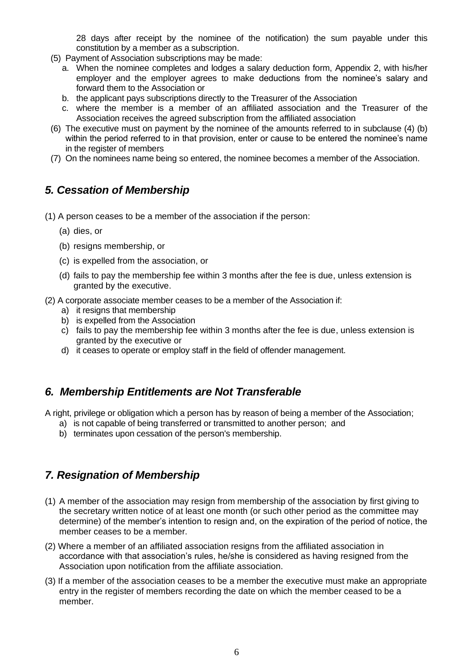28 days after receipt by the nominee of the notification) the sum payable under this constitution by a member as a subscription.

- (5) Payment of Association subscriptions may be made:
	- a. When the nominee completes and lodges a salary deduction form, Appendix 2, with his/her employer and the employer agrees to make deductions from the nominee's salary and forward them to the Association or
	- b. the applicant pays subscriptions directly to the Treasurer of the Association
	- c. where the member is a member of an affiliated association and the Treasurer of the Association receives the agreed subscription from the affiliated association
- (6) The executive must on payment by the nominee of the amounts referred to in subclause (4) (b) within the period referred to in that provision, enter or cause to be entered the nominee's name in the register of members
- (7) On the nominees name being so entered, the nominee becomes a member of the Association.

#### *5. Cessation of Membership*

- (1) A person ceases to be a member of the association if the person:
	- (a) dies, or
	- (b) resigns membership, or
	- (c) is expelled from the association, or
	- (d) fails to pay the membership fee within 3 months after the fee is due, unless extension is granted by the executive.
- (2) A corporate associate member ceases to be a member of the Association if:
	- a) it resigns that membership
	- b) is expelled from the Association
	- c) fails to pay the membership fee within 3 months after the fee is due, unless extension is granted by the executive or
	- d) it ceases to operate or employ staff in the field of offender management.

#### *6. Membership Entitlements are Not Transferable*

A right, privilege or obligation which a person has by reason of being a member of the Association;

- a) is not capable of being transferred or transmitted to another person; and
- b) terminates upon cessation of the person's membership.

#### *7. Resignation of Membership*

- (1) A member of the association may resign from membership of the association by first giving to the secretary written notice of at least one month (or such other period as the committee may determine) of the member's intention to resign and, on the expiration of the period of notice, the member ceases to be a member.
- (2) Where a member of an affiliated association resigns from the affiliated association in accordance with that association's rules, he/she is considered as having resigned from the Association upon notification from the affiliate association.
- (3) If a member of the association ceases to be a member the executive must make an appropriate entry in the register of members recording the date on which the member ceased to be a member.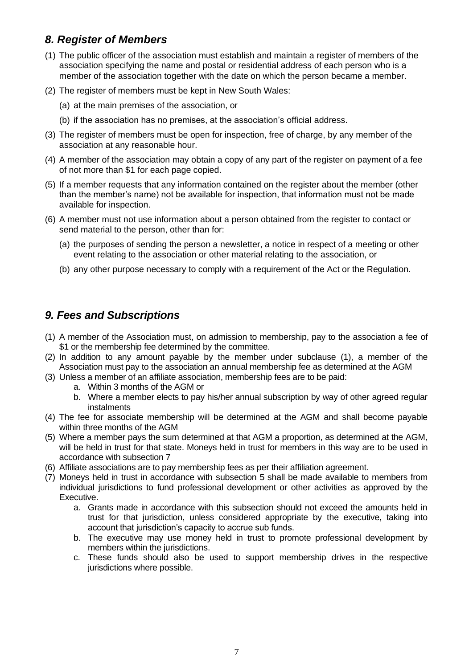### <span id="page-6-0"></span>*8. Register of Members*

- (1) The public officer of the association must establish and maintain a register of members of the association specifying the name and postal or residential address of each person who is a member of the association together with the date on which the person became a member.
- (2) The register of members must be kept in New South Wales:
	- (a) at the main premises of the association, or
	- (b) if the association has no premises, at the association's official address.
- (3) The register of members must be open for inspection, free of charge, by any member of the association at any reasonable hour.
- (4) A member of the association may obtain a copy of any part of the register on payment of a fee of not more than \$1 for each page copied.
- (5) If a member requests that any information contained on the register about the member (other than the member's name) not be available for inspection, that information must not be made available for inspection.
- (6) A member must not use information about a person obtained from the register to contact or send material to the person, other than for:
	- (a) the purposes of sending the person a newsletter, a notice in respect of a meeting or other event relating to the association or other material relating to the association, or
	- (b) any other purpose necessary to comply with a requirement of the Act or the Regulation.

#### *9. Fees and Subscriptions*

- (1) A member of the Association must, on admission to membership, pay to the association a fee of \$1 or the membership fee determined by the committee.
- (2) In addition to any amount payable by the member under subclause (1), a member of the Association must pay to the association an annual membership fee as determined at the AGM
- (3) Unless a member of an affiliate association, membership fees are to be paid:
	- a. Within 3 months of the AGM or
	- b. Where a member elects to pay his/her annual subscription by way of other agreed regular instalments
- (4) The fee for associate membership will be determined at the AGM and shall become payable within three months of the AGM
- (5) Where a member pays the sum determined at that AGM a proportion, as determined at the AGM, will be held in trust for that state. Moneys held in trust for members in this way are to be used in accordance with subsection 7
- (6) Affiliate associations are to pay membership fees as per their affiliation agreement.
- (7) Moneys held in trust in accordance with subsection 5 shall be made available to members from individual jurisdictions to fund professional development or other activities as approved by the Executive.
	- a. Grants made in accordance with this subsection should not exceed the amounts held in trust for that jurisdiction, unless considered appropriate by the executive, taking into account that jurisdiction's capacity to accrue sub funds.
	- b. The executive may use money held in trust to promote professional development by members within the jurisdictions.
	- c. These funds should also be used to support membership drives in the respective jurisdictions where possible.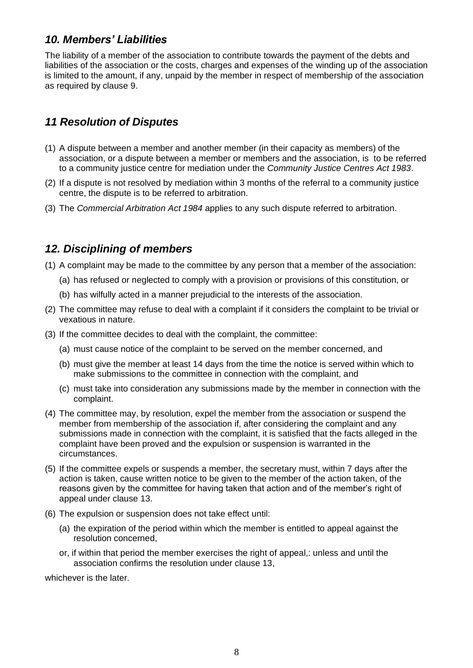#### *10. Members' Liabilities*

The liability of a member of the association to contribute towards the payment of the debts and liabilities of the association or the costs, charges and expenses of the winding up of the association is limited to the amount, if any, unpaid by the member in respect of membership of the association as required by clause 9.

#### *11 Resolution of Disputes*

- (1) A dispute between a member and another member (in their capacity as members) of the association, or a dispute between a member or members and the association, is to be referred to a community justice centre for mediation under the *[Community Justice Centres Act 1983](http://www.legislation.nsw.gov.au/xref/inforce/?xref=Type%3Dact%20AND%20Year%3D1983%20AND%20no%3D127&nohits=y)*.
- (2) If a dispute is not resolved by mediation within 3 months of the referral to a community justice centre, the dispute is to be referred to arbitration.
- (3) The *[Commercial Arbitration Act 1984](http://www.legislation.nsw.gov.au/xref/inforce/?xref=Type%3Dact%20AND%20Year%3D1984%20AND%20no%3D160&nohits=y)* applies to any such dispute referred to arbitration.

#### <span id="page-7-0"></span>*12. Disciplining of members*

- (1) A complaint may be made to the committee by any person that a member of the association:
	- (a) has refused or neglected to comply with a provision or provisions of this constitution, or
	- (b) has wilfully acted in a manner prejudicial to the interests of the association.
- (2) The committee may refuse to deal with a complaint if it considers the complaint to be trivial or vexatious in nature.
- (3) If the committee decides to deal with the complaint, the committee:
	- (a) must cause notice of the complaint to be served on the member concerned, and
	- (b) must give the member at least 14 days from the time the notice is served within which to make submissions to the committee in connection with the complaint, and
	- (c) must take into consideration any submissions made by the member in connection with the complaint.
- (4) The committee may, by resolution, expel the member from the association or suspend the member from membership of the association if, after considering the complaint and any submissions made in connection with the complaint, it is satisfied that the facts alleged in the complaint have been proved and the expulsion or suspension is warranted in the circumstances.
- (5) If the committee expels or suspends a member, the secretary must, within 7 days after the action is taken, cause written notice to be given to the member of the action taken, of the reasons given by the committee for having taken that action and of the member's right of appeal under clause 13.
- (6) The expulsion or suspension does not take effect until:
	- (a) the expiration of the period within which the member is entitled to appeal against the resolution concerned,
	- or, if within that period the member exercises the right of appeal,: unless and until the association confirms the resolution under clause 13,

whichever is the later.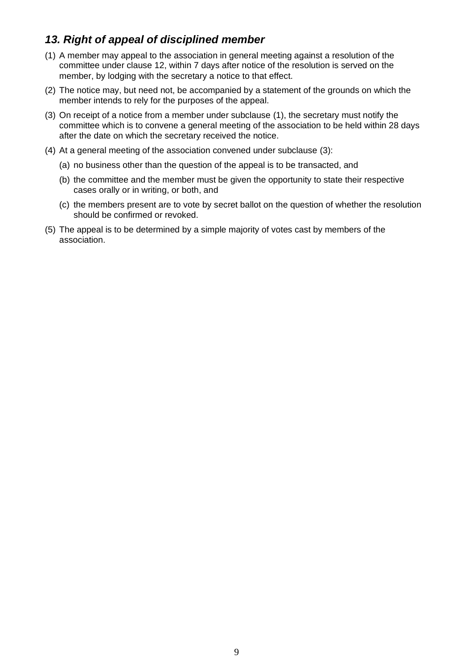#### <span id="page-8-0"></span>*13. Right of appeal of disciplined member*

- (1) A member may appeal to the association in general meeting against a resolution of the committee under clause 12, within 7 days after notice of the resolution is served on the member, by lodging with the secretary a notice to that effect.
- (2) The notice may, but need not, be accompanied by a statement of the grounds on which the member intends to rely for the purposes of the appeal.
- (3) On receipt of a notice from a member under subclause (1), the secretary must notify the committee which is to convene a general meeting of the association to be held within 28 days after the date on which the secretary received the notice.
- (4) At a general meeting of the association convened under subclause (3):
	- (a) no business other than the question of the appeal is to be transacted, and
	- (b) the committee and the member must be given the opportunity to state their respective cases orally or in writing, or both, and
	- (c) the members present are to vote by secret ballot on the question of whether the resolution should be confirmed or revoked.
- (5) The appeal is to be determined by a simple majority of votes cast by members of the association.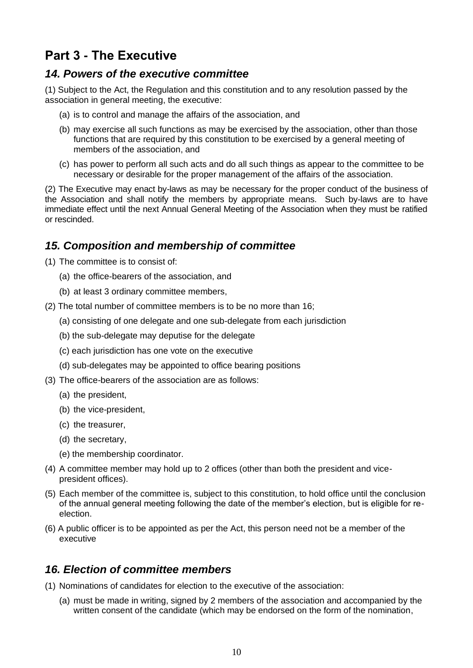# <span id="page-9-0"></span>**Part 3 - The Executive**

#### <span id="page-9-1"></span>*14. Powers of the executive committee*

(1) Subject to the Act, the Regulation and this constitution and to any resolution passed by the association in general meeting, the executive:

- (a) is to control and manage the affairs of the association, and
- (b) may exercise all such functions as may be exercised by the association, other than those functions that are required by this constitution to be exercised by a general meeting of members of the association, and
- (c) has power to perform all such acts and do all such things as appear to the committee to be necessary or desirable for the proper management of the affairs of the association.

(2) The Executive may enact by-laws as may be necessary for the proper conduct of the business of the Association and shall notify the members by appropriate means. Such by-laws are to have immediate effect until the next Annual General Meeting of the Association when they must be ratified or rescinded.

#### <span id="page-9-2"></span>*15. Composition and membership of committee*

- (1) The committee is to consist of:
	- (a) the office-bearers of the association, and
	- (b) at least 3 ordinary committee members,
- (2) The total number of committee members is to be no more than 16;
	- (a) consisting of one delegate and one sub-delegate from each jurisdiction
	- (b) the sub-delegate may deputise for the delegate
	- (c) each jurisdiction has one vote on the executive
	- (d) sub-delegates may be appointed to office bearing positions
- (3) The office-bearers of the association are as follows:
	- (a) the president,
	- (b) the vice-president,
	- (c) the treasurer,
	- (d) the secretary,
	- (e) the membership coordinator.
- (4) A committee member may hold up to 2 offices (other than both the president and vicepresident offices).
- (5) Each member of the committee is, subject to this constitution, to hold office until the conclusion of the annual general meeting following the date of the member's election, but is eligible for reelection.
- (6) A public officer is to be appointed as per the Act, this person need not be a member of the executive

#### <span id="page-9-3"></span>*16. Election of committee members*

(1) Nominations of candidates for election to the executive of the association:

(a) must be made in writing, signed by 2 members of the association and accompanied by the written consent of the candidate (which may be endorsed on the form of the nomination,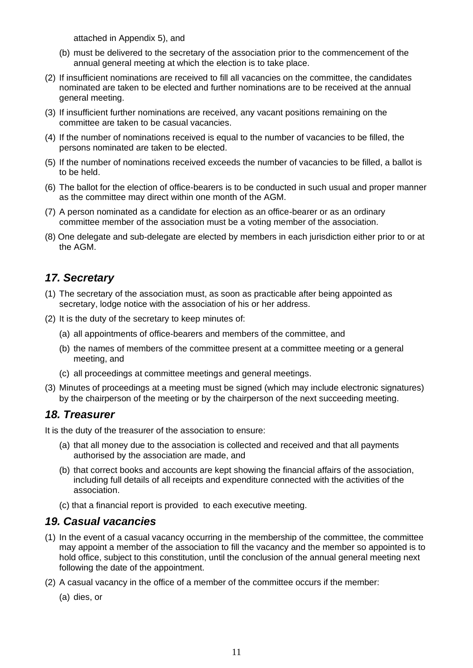attached in Appendix 5), and

- (b) must be delivered to the secretary of the association prior to the commencement of the annual general meeting at which the election is to take place.
- (2) If insufficient nominations are received to fill all vacancies on the committee, the candidates nominated are taken to be elected and further nominations are to be received at the annual general meeting.
- (3) If insufficient further nominations are received, any vacant positions remaining on the committee are taken to be casual vacancies.
- (4) If the number of nominations received is equal to the number of vacancies to be filled, the persons nominated are taken to be elected.
- (5) If the number of nominations received exceeds the number of vacancies to be filled, a ballot is to be held.
- (6) The ballot for the election of office-bearers is to be conducted in such usual and proper manner as the committee may direct within one month of the AGM.
- (7) A person nominated as a candidate for election as an office-bearer or as an ordinary committee member of the association must be a voting member of the association.
- (8) One delegate and sub-delegate are elected by members in each jurisdiction either prior to or at the AGM.

#### <span id="page-10-0"></span>*17. Secretary*

- (1) The secretary of the association must, as soon as practicable after being appointed as secretary, lodge notice with the association of his or her address.
- (2) It is the duty of the secretary to keep minutes of:
	- (a) all appointments of office-bearers and members of the committee, and
	- (b) the names of members of the committee present at a committee meeting or a general meeting, and
	- (c) all proceedings at committee meetings and general meetings.
- (3) Minutes of proceedings at a meeting must be signed (which may include electronic signatures) by the chairperson of the meeting or by the chairperson of the next succeeding meeting.

#### <span id="page-10-1"></span>*18. Treasurer*

It is the duty of the treasurer of the association to ensure:

- (a) that all money due to the association is collected and received and that all payments authorised by the association are made, and
- (b) that correct books and accounts are kept showing the financial affairs of the association, including full details of all receipts and expenditure connected with the activities of the association.
- (c) that a financial report is provided to each executive meeting.

#### <span id="page-10-2"></span>*19. Casual vacancies*

- (1) In the event of a casual vacancy occurring in the membership of the committee, the committee may appoint a member of the association to fill the vacancy and the member so appointed is to hold office, subject to this constitution, until the conclusion of the annual general meeting next following the date of the appointment.
- (2) A casual vacancy in the office of a member of the committee occurs if the member:
	- (a) dies, or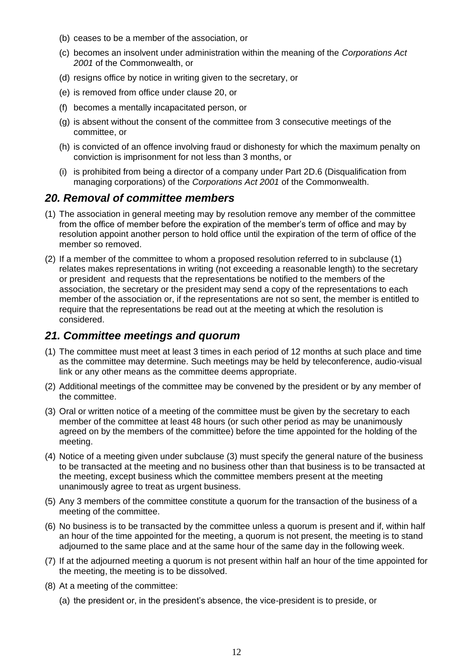- (b) ceases to be a member of the association, or
- (c) becomes an insolvent under administration within the meaning of the *[Corporations Act](http://www.comlaw.gov.au/)  [2001](http://www.comlaw.gov.au/)* of the Commonwealth, or
- (d) resigns office by notice in writing given to the secretary, or
- (e) is removed from office under clause 20, or
- (f) becomes a mentally incapacitated person, or
- (g) is absent without the consent of the committee from 3 consecutive meetings of the committee, or
- (h) is convicted of an offence involving fraud or dishonesty for which the maximum penalty on conviction is imprisonment for not less than 3 months, or
- (i) is prohibited from being a director of a company under Part 2D.6 (Disqualification from managing corporations) of the *[Corporations Act 2001](http://www.comlaw.gov.au/)* of the Commonwealth.

#### <span id="page-11-0"></span>*20. Removal of committee members*

- (1) The association in general meeting may by resolution remove any member of the committee from the office of member before the expiration of the member's term of office and may by resolution appoint another person to hold office until the expiration of the term of office of the member so removed.
- (2) If a member of the committee to whom a proposed resolution referred to in subclause (1) relates makes representations in writing (not exceeding a reasonable length) to the secretary or president and requests that the representations be notified to the members of the association, the secretary or the president may send a copy of the representations to each member of the association or, if the representations are not so sent, the member is entitled to require that the representations be read out at the meeting at which the resolution is considered.

#### <span id="page-11-1"></span>*21. Committee meetings and quorum*

- (1) The committee must meet at least 3 times in each period of 12 months at such place and time as the committee may determine. Such meetings may be held by teleconference, audio-visual link or any other means as the committee deems appropriate.
- (2) Additional meetings of the committee may be convened by the president or by any member of the committee.
- (3) Oral or written notice of a meeting of the committee must be given by the secretary to each member of the committee at least 48 hours (or such other period as may be unanimously agreed on by the members of the committee) before the time appointed for the holding of the meeting.
- (4) Notice of a meeting given under subclause (3) must specify the general nature of the business to be transacted at the meeting and no business other than that business is to be transacted at the meeting, except business which the committee members present at the meeting unanimously agree to treat as urgent business.
- (5) Any 3 members of the committee constitute a quorum for the transaction of the business of a meeting of the committee.
- (6) No business is to be transacted by the committee unless a quorum is present and if, within half an hour of the time appointed for the meeting, a quorum is not present, the meeting is to stand adjourned to the same place and at the same hour of the same day in the following week.
- (7) If at the adjourned meeting a quorum is not present within half an hour of the time appointed for the meeting, the meeting is to be dissolved.
- (8) At a meeting of the committee:
	- (a) the president or, in the president's absence, the vice-president is to preside, or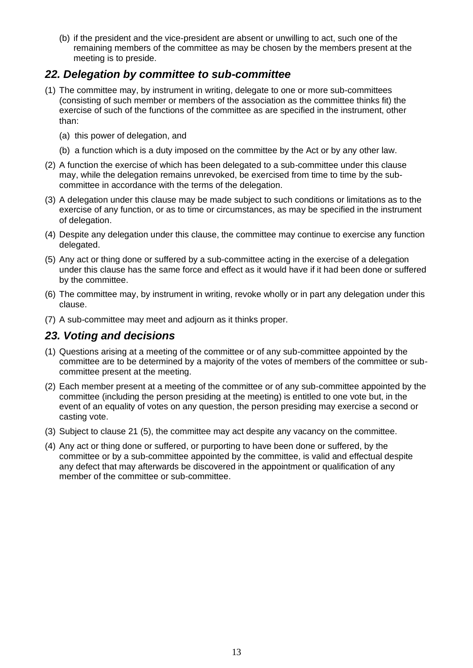(b) if the president and the vice-president are absent or unwilling to act, such one of the remaining members of the committee as may be chosen by the members present at the meeting is to preside.

#### <span id="page-12-0"></span>*22. Delegation by committee to sub-committee*

- (1) The committee may, by instrument in writing, delegate to one or more sub-committees (consisting of such member or members of the association as the committee thinks fit) the exercise of such of the functions of the committee as are specified in the instrument, other than:
	- (a) this power of delegation, and
	- (b) a function which is a duty imposed on the committee by the Act or by any other law.
- (2) A function the exercise of which has been delegated to a sub-committee under this clause may, while the delegation remains unrevoked, be exercised from time to time by the subcommittee in accordance with the terms of the delegation.
- (3) A delegation under this clause may be made subject to such conditions or limitations as to the exercise of any function, or as to time or circumstances, as may be specified in the instrument of delegation.
- (4) Despite any delegation under this clause, the committee may continue to exercise any function delegated.
- (5) Any act or thing done or suffered by a sub-committee acting in the exercise of a delegation under this clause has the same force and effect as it would have if it had been done or suffered by the committee.
- (6) The committee may, by instrument in writing, revoke wholly or in part any delegation under this clause.
- (7) A sub-committee may meet and adjourn as it thinks proper.

#### <span id="page-12-1"></span>*23. Voting and decisions*

- (1) Questions arising at a meeting of the committee or of any sub-committee appointed by the committee are to be determined by a majority of the votes of members of the committee or subcommittee present at the meeting.
- (2) Each member present at a meeting of the committee or of any sub-committee appointed by the committee (including the person presiding at the meeting) is entitled to one vote but, in the event of an equality of votes on any question, the person presiding may exercise a second or casting vote.
- (3) Subject to clause 21 (5), the committee may act despite any vacancy on the committee.
- (4) Any act or thing done or suffered, or purporting to have been done or suffered, by the committee or by a sub-committee appointed by the committee, is valid and effectual despite any defect that may afterwards be discovered in the appointment or qualification of any member of the committee or sub-committee.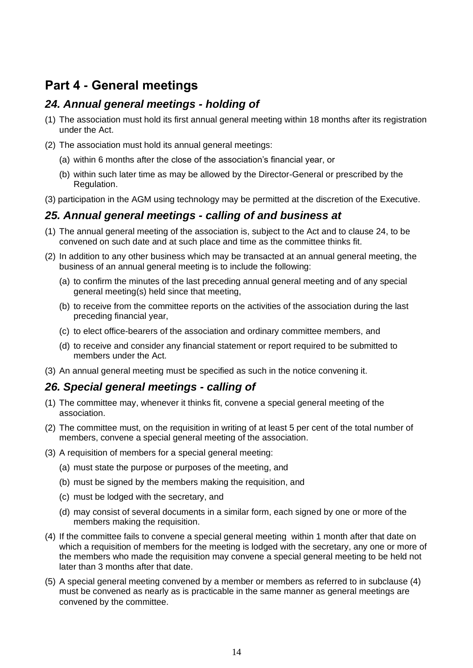## <span id="page-13-0"></span>**Part 4 - General meetings**

#### <span id="page-13-1"></span>*24. Annual general meetings - holding of*

- (1) The association must hold its first annual general meeting within 18 months after its registration under the Act.
- (2) The association must hold its annual general meetings:
	- (a) within 6 months after the close of the association's financial year, or
	- (b) within such later time as may be allowed by the Director-General or prescribed by the Regulation.
- (3) participation in the AGM using technology may be permitted at the discretion of the Executive.

#### <span id="page-13-2"></span>*25. Annual general meetings - calling of and business at*

- (1) The annual general meeting of the association is, subject to the Act and to clause 24, to be convened on such date and at such place and time as the committee thinks fit.
- (2) In addition to any other business which may be transacted at an annual general meeting, the business of an annual general meeting is to include the following:
	- (a) to confirm the minutes of the last preceding annual general meeting and of any special general meeting(s) held since that meeting,
	- (b) to receive from the committee reports on the activities of the association during the last preceding financial year,
	- (c) to elect office-bearers of the association and ordinary committee members, and
	- (d) to receive and consider any financial statement or report required to be submitted to members under the Act.
- (3) An annual general meeting must be specified as such in the notice convening it.

#### <span id="page-13-3"></span>*26. Special general meetings - calling of*

- (1) The committee may, whenever it thinks fit, convene a special general meeting of the association.
- (2) The committee must, on the requisition in writing of at least 5 per cent of the total number of members, convene a special general meeting of the association.
- (3) A requisition of members for a special general meeting:
	- (a) must state the purpose or purposes of the meeting, and
	- (b) must be signed by the members making the requisition, and
	- (c) must be lodged with the secretary, and
	- (d) may consist of several documents in a similar form, each signed by one or more of the members making the requisition.
- (4) If the committee fails to convene a special general meeting within 1 month after that date on which a requisition of members for the meeting is lodged with the secretary, any one or more of the members who made the requisition may convene a special general meeting to be held not later than 3 months after that date.
- (5) A special general meeting convened by a member or members as referred to in subclause (4) must be convened as nearly as is practicable in the same manner as general meetings are convened by the committee.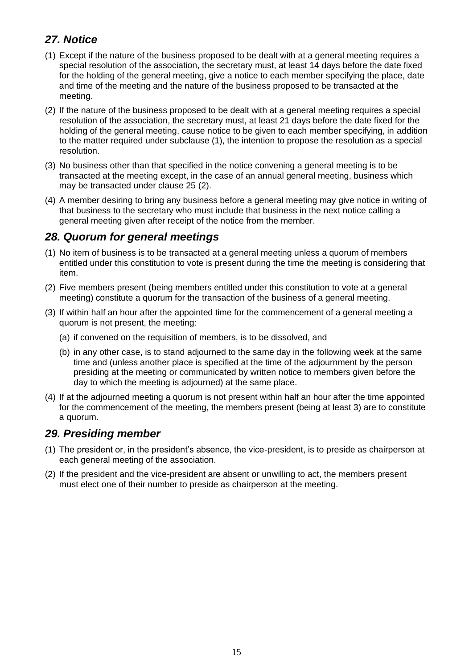## <span id="page-14-0"></span>*27. Notice*

- (1) Except if the nature of the business proposed to be dealt with at a general meeting requires a special resolution of the association, the secretary must, at least 14 days before the date fixed for the holding of the general meeting, give a notice to each member specifying the place, date and time of the meeting and the nature of the business proposed to be transacted at the meeting.
- (2) If the nature of the business proposed to be dealt with at a general meeting requires a special resolution of the association, the secretary must, at least 21 days before the date fixed for the holding of the general meeting, cause notice to be given to each member specifying, in addition to the matter required under subclause (1), the intention to propose the resolution as a special resolution.
- (3) No business other than that specified in the notice convening a general meeting is to be transacted at the meeting except, in the case of an annual general meeting, business which may be transacted under clause 25 (2).
- (4) A member desiring to bring any business before a general meeting may give notice in writing of that business to the secretary who must include that business in the next notice calling a general meeting given after receipt of the notice from the member.

#### <span id="page-14-1"></span>*28. Quorum for general meetings*

- (1) No item of business is to be transacted at a general meeting unless a quorum of members entitled under this constitution to vote is present during the time the meeting is considering that item.
- (2) Five members present (being members entitled under this constitution to vote at a general meeting) constitute a quorum for the transaction of the business of a general meeting.
- (3) If within half an hour after the appointed time for the commencement of a general meeting a quorum is not present, the meeting:
	- (a) if convened on the requisition of members, is to be dissolved, and
	- (b) in any other case, is to stand adjourned to the same day in the following week at the same time and (unless another place is specified at the time of the adjournment by the person presiding at the meeting or communicated by written notice to members given before the day to which the meeting is adjourned) at the same place.
- (4) If at the adjourned meeting a quorum is not present within half an hour after the time appointed for the commencement of the meeting, the members present (being at least 3) are to constitute a quorum.

#### <span id="page-14-2"></span>*29. Presiding member*

- (1) The president or, in the president's absence, the vice-president, is to preside as chairperson at each general meeting of the association.
- (2) If the president and the vice-president are absent or unwilling to act, the members present must elect one of their number to preside as chairperson at the meeting.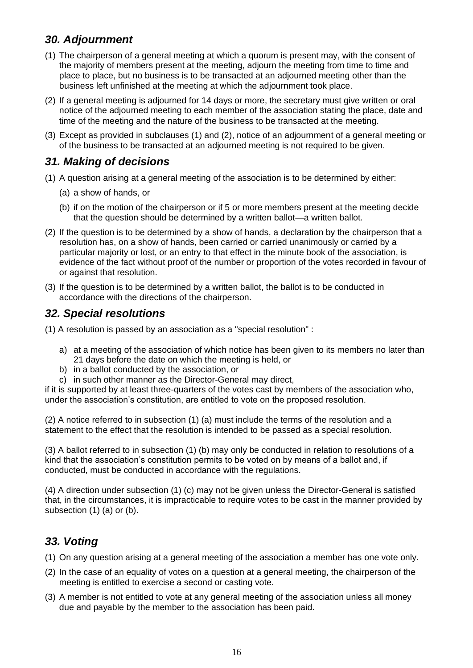## <span id="page-15-0"></span>*30. Adjournment*

- (1) The chairperson of a general meeting at which a quorum is present may, with the consent of the majority of members present at the meeting, adjourn the meeting from time to time and place to place, but no business is to be transacted at an adjourned meeting other than the business left unfinished at the meeting at which the adjournment took place.
- (2) If a general meeting is adjourned for 14 days or more, the secretary must give written or oral notice of the adjourned meeting to each member of the association stating the place, date and time of the meeting and the nature of the business to be transacted at the meeting.
- (3) Except as provided in subclauses (1) and (2), notice of an adjournment of a general meeting or of the business to be transacted at an adjourned meeting is not required to be given.

### <span id="page-15-1"></span>*31. Making of decisions*

- (1) A question arising at a general meeting of the association is to be determined by either:
	- (a) a show of hands, or
	- (b) if on the motion of the chairperson or if 5 or more members present at the meeting decide that the question should be determined by a written ballot—a written ballot.
- (2) If the question is to be determined by a show of hands, a declaration by the chairperson that a resolution has, on a show of hands, been carried or carried unanimously or carried by a particular majority or lost, or an entry to that effect in the minute book of the association, is evidence of the fact without proof of the number or proportion of the votes recorded in favour of or against that resolution.
- (3) If the question is to be determined by a written ballot, the ballot is to be conducted in accordance with the directions of the chairperson.

#### <span id="page-15-2"></span>*32. Special resolutions*

(1) A resolution is passed by an association as a "special resolution" :

- a) at a meeting of the association of which notice has been given to its members no later than 21 days before the date on which the meeting is held, or
- b) in a ballot conducted by the association, or
- c) in such other manner as the Director-General may direct,

if it is supported by at least three-quarters of the votes cast by members of the association who, under the association's constitution, are entitled to vote on the proposed resolution.

(2) A notice referred to in subsection (1) (a) must include the terms of the resolution and a statement to the effect that the resolution is intended to be passed as a special resolution.

(3) A ballot referred to in subsection (1) (b) may only be conducted in relation to resolutions of a kind that the association's constitution permits to be voted on by means of a ballot and, if conducted, must be conducted in accordance with the regulations.

(4) A direction under subsection (1) (c) may not be given unless the Director-General is satisfied that, in the circumstances, it is impracticable to require votes to be cast in the manner provided by subsection (1) (a) or (b).

#### <span id="page-15-3"></span>*33. Voting*

- (1) On any question arising at a general meeting of the association a member has one vote only.
- (2) In the case of an equality of votes on a question at a general meeting, the chairperson of the meeting is entitled to exercise a second or casting vote.
- (3) A member is not entitled to vote at any general meeting of the association unless all money due and payable by the member to the association has been paid.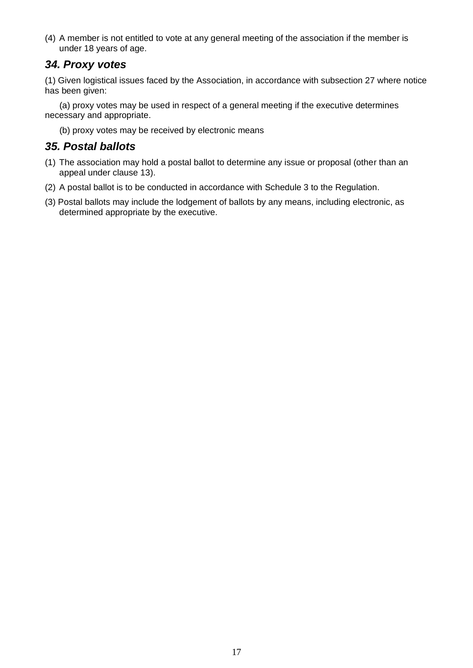(4) A member is not entitled to vote at any general meeting of the association if the member is under 18 years of age.

#### <span id="page-16-0"></span>*34. Proxy votes*

(1) Given logistical issues faced by the Association, in accordance with subsection 27 where notice has been given:

 (a) proxy votes may be used in respect of a general meeting if the executive determines necessary and appropriate.

(b) proxy votes may be received by electronic means

#### <span id="page-16-1"></span>*35. Postal ballots*

- (1) The association may hold a postal ballot to determine any issue or proposal (other than an appeal under clause 13).
- (2) A postal ballot is to be conducted in accordance with Schedule 3 to the Regulation.
- (3) Postal ballots may include the lodgement of ballots by any means, including electronic, as determined appropriate by the executive.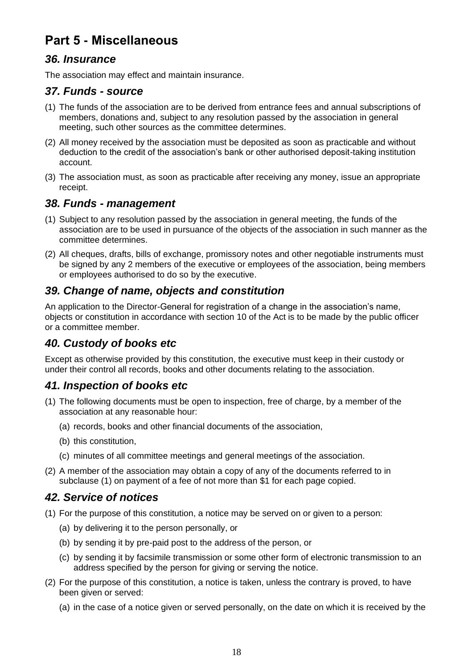# <span id="page-17-0"></span>**Part 5 - Miscellaneous**

#### <span id="page-17-1"></span>*36. Insurance*

The association may effect and maintain insurance.

#### <span id="page-17-2"></span>*37. Funds - source*

- (1) The funds of the association are to be derived from entrance fees and annual subscriptions of members, donations and, subject to any resolution passed by the association in general meeting, such other sources as the committee determines.
- (2) All money received by the association must be deposited as soon as practicable and without deduction to the credit of the association's bank or other authorised deposit-taking institution account.
- (3) The association must, as soon as practicable after receiving any money, issue an appropriate receipt.

#### <span id="page-17-3"></span>*38. Funds - management*

- (1) Subject to any resolution passed by the association in general meeting, the funds of the association are to be used in pursuance of the objects of the association in such manner as the committee determines.
- (2) All cheques, drafts, bills of exchange, promissory notes and other negotiable instruments must be signed by any 2 members of the executive or employees of the association, being members or employees authorised to do so by the executive.

#### <span id="page-17-4"></span>*39. Change of name, objects and constitution*

An application to the Director-General for registration of a change in the association's name, objects or constitution in accordance with section 10 of the Act is to be made by the public officer or a committee member.

#### <span id="page-17-5"></span>*40. Custody of books etc*

Except as otherwise provided by this constitution, the executive must keep in their custody or under their control all records, books and other documents relating to the association.

#### <span id="page-17-6"></span>*41. Inspection of books etc*

- (1) The following documents must be open to inspection, free of charge, by a member of the association at any reasonable hour:
	- (a) records, books and other financial documents of the association,
	- (b) this constitution,
	- (c) minutes of all committee meetings and general meetings of the association.
- (2) A member of the association may obtain a copy of any of the documents referred to in subclause (1) on payment of a fee of not more than \$1 for each page copied.

#### <span id="page-17-7"></span>*42. Service of notices*

- (1) For the purpose of this constitution, a notice may be served on or given to a person:
	- (a) by delivering it to the person personally, or
	- (b) by sending it by pre-paid post to the address of the person, or
	- (c) by sending it by facsimile transmission or some other form of electronic transmission to an address specified by the person for giving or serving the notice.
- (2) For the purpose of this constitution, a notice is taken, unless the contrary is proved, to have been given or served:
	- (a) in the case of a notice given or served personally, on the date on which it is received by the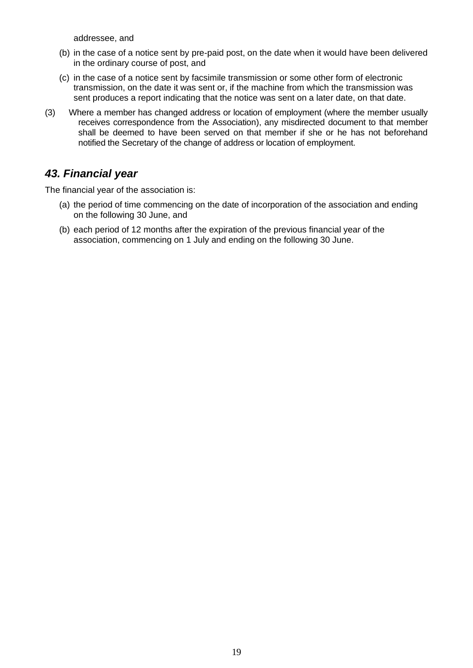addressee, and

- (b) in the case of a notice sent by pre-paid post, on the date when it would have been delivered in the ordinary course of post, and
- (c) in the case of a notice sent by facsimile transmission or some other form of electronic transmission, on the date it was sent or, if the machine from which the transmission was sent produces a report indicating that the notice was sent on a later date, on that date.
- (3) Where a member has changed address or location of employment (where the member usually receives correspondence from the Association), any misdirected document to that member shall be deemed to have been served on that member if she or he has not beforehand notified the Secretary of the change of address or location of employment.

#### <span id="page-18-0"></span>*43. Financial year*

The financial year of the association is:

- (a) the period of time commencing on the date of incorporation of the association and ending on the following 30 June, and
- (b) each period of 12 months after the expiration of the previous financial year of the association, commencing on 1 July and ending on the following 30 June.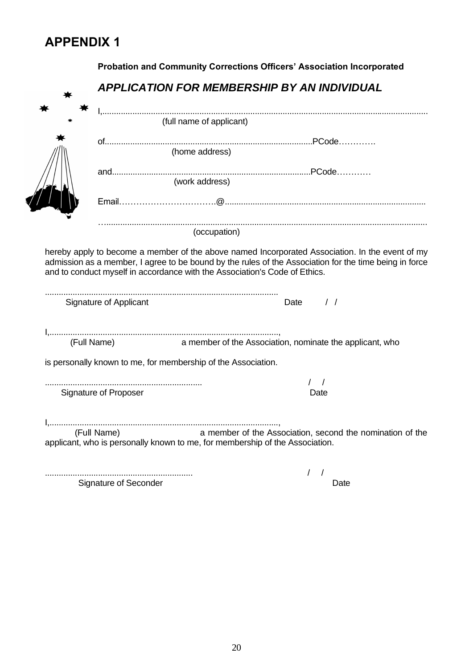# <span id="page-19-1"></span><span id="page-19-0"></span>**APPENDIX 1**

|                               | Probation and Community Corrections Officers' Association Incorporated                                                                    |
|-------------------------------|-------------------------------------------------------------------------------------------------------------------------------------------|
|                               | <b>APPLICATION FOR MEMBERSHIP BY AN INDIVIDUAL</b>                                                                                        |
|                               |                                                                                                                                           |
|                               | (full name of applicant)                                                                                                                  |
|                               |                                                                                                                                           |
|                               | (home address)                                                                                                                            |
|                               |                                                                                                                                           |
|                               | (work address)                                                                                                                            |
|                               |                                                                                                                                           |
|                               |                                                                                                                                           |
|                               | (occupation)                                                                                                                              |
| <b>Signature of Applicant</b> | $\frac{1}{2}$<br>Date                                                                                                                     |
|                               |                                                                                                                                           |
|                               |                                                                                                                                           |
| (Full Name)                   | a member of the Association, nominate the applicant, who                                                                                  |
|                               | is personally known to me, for membership of the Association.                                                                             |
|                               |                                                                                                                                           |
| Signature of Proposer         | Date                                                                                                                                      |
|                               |                                                                                                                                           |
| (Full Name)                   |                                                                                                                                           |
|                               | a member of the Association, second the nomination of the<br>applicant, who is personally known to me, for membership of the Association. |
| Signature of Seconder         |                                                                                                                                           |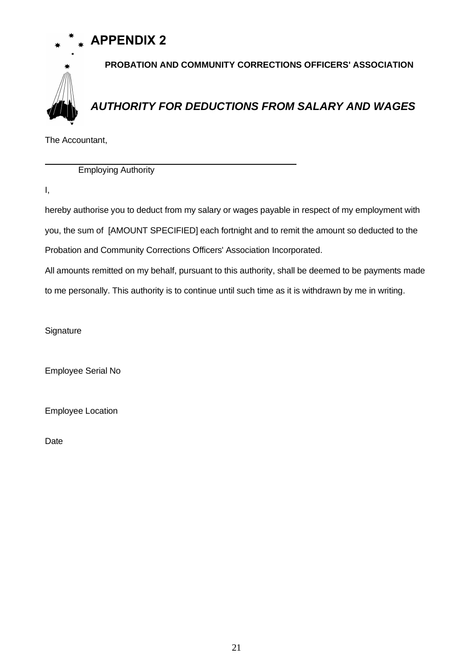# **APPENDIX 2**



<span id="page-20-1"></span><span id="page-20-0"></span>**PROBATION AND COMMUNITY CORRECTIONS OFFICERS' ASSOCIATION** *AUTHORITY FOR DEDUCTIONS FROM SALARY AND WAGES*

The Accountant,

Employing Authority

I,

 $\overline{a}$ 

hereby authorise you to deduct from my salary or wages payable in respect of my employment with you, the sum of [AMOUNT SPECIFIED] each fortnight and to remit the amount so deducted to the Probation and Community Corrections Officers' Association Incorporated.

All amounts remitted on my behalf, pursuant to this authority, shall be deemed to be payments made to me personally. This authority is to continue until such time as it is withdrawn by me in writing.

**Signature** 

Employee Serial No

Employee Location

Date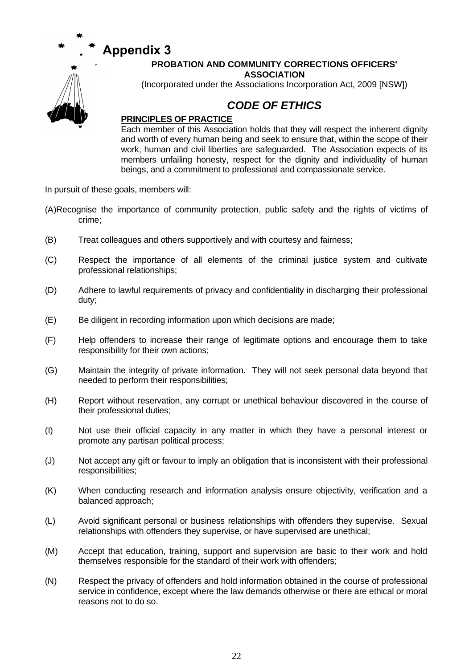

# <span id="page-21-0"></span>**PROBATION AND COMMUNITY CORRECTIONS OFFICERS'**

**ASSOCIATION**

<span id="page-21-1"></span>(Incorporated under the Associations Incorporation Act, 2009 [NSW])

### *CODE OF ETHICS*

#### **PRINCIPLES OF PRACTICE**

Each member of this Association holds that they will respect the inherent dignity and worth of every human being and seek to ensure that, within the scope of their work, human and civil liberties are safeguarded. The Association expects of its members unfailing honesty, respect for the dignity and individuality of human beings, and a commitment to professional and compassionate service.

In pursuit of these goals, members will:

- (A)Recognise the importance of community protection, public safety and the rights of victims of crime;
- (B) Treat colleagues and others supportively and with courtesy and fairness;
- (C) Respect the importance of all elements of the criminal justice system and cultivate professional relationships;
- (D) Adhere to lawful requirements of privacy and confidentiality in discharging their professional duty;
- (E) Be diligent in recording information upon which decisions are made;
- (F) Help offenders to increase their range of legitimate options and encourage them to take responsibility for their own actions;
- (G) Maintain the integrity of private information. They will not seek personal data beyond that needed to perform their responsibilities;
- (H) Report without reservation, any corrupt or unethical behaviour discovered in the course of their professional duties;
- (I) Not use their official capacity in any matter in which they have a personal interest or promote any partisan political process;
- (J) Not accept any gift or favour to imply an obligation that is inconsistent with their professional responsibilities;
- (K) When conducting research and information analysis ensure objectivity, verification and a balanced approach;
- (L) Avoid significant personal or business relationships with offenders they supervise. Sexual relationships with offenders they supervise, or have supervised are unethical;
- (M) Accept that education, training, support and supervision are basic to their work and hold themselves responsible for the standard of their work with offenders;
- (N) Respect the privacy of offenders and hold information obtained in the course of professional service in confidence, except where the law demands otherwise or there are ethical or moral reasons not to do so.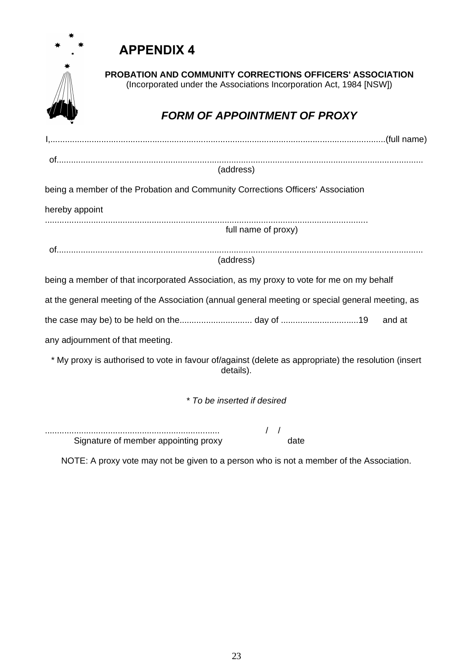# <span id="page-22-0"></span>**APPENDIX 4**



<span id="page-22-1"></span>**PROBATION AND COMMUNITY CORRECTIONS OFFICERS' ASSOCIATION** (Incorporated under the Associations Incorporation Act, 1984 [NSW])

# *FORM OF APPOINTMENT OF PROXY*

| (address)                                                                                                         |
|-------------------------------------------------------------------------------------------------------------------|
| being a member of the Probation and Community Corrections Officers' Association                                   |
| hereby appoint                                                                                                    |
| full name of proxy)                                                                                               |
|                                                                                                                   |
| (address)                                                                                                         |
| being a member of that incorporated Association, as my proxy to vote for me on my behalf                          |
| at the general meeting of the Association (annual general meeting or special general meeting, as                  |
| and at                                                                                                            |
| any adjournment of that meeting.                                                                                  |
| * My proxy is authorised to vote in favour of/against (delete as appropriate) the resolution (insert<br>details). |
| * To be inserted if desired                                                                                       |
|                                                                                                                   |
| Signature of member appointing proxy<br>date                                                                      |

NOTE: A proxy vote may not be given to a person who is not a member of the Association.